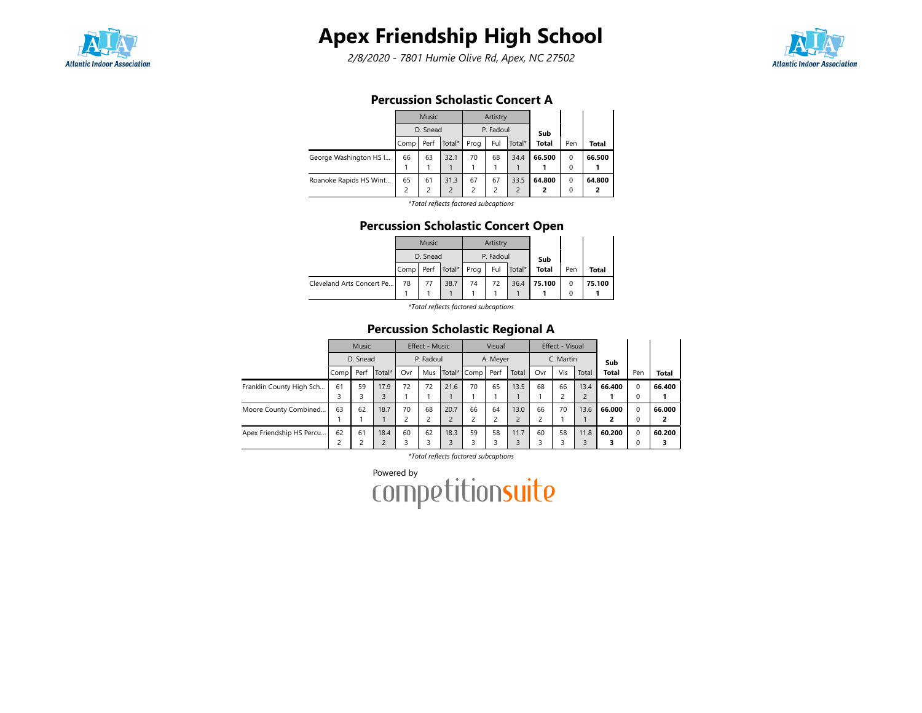

# Apex Friendship High School

2/8/2020 - 7801 Humie Olive Rd, Apex, NC 27502



## Percussion Scholastic Concert A

|                        |                | <b>Music</b> |                          |      | Artistry                |                |              |          |        |
|------------------------|----------------|--------------|--------------------------|------|-------------------------|----------------|--------------|----------|--------|
|                        |                | D. Snead     |                          |      | P. Fadoul               |                | Sub          |          |        |
|                        | Comp           | Perf         | Total*                   | Prog | Ful                     | Total*         | <b>Total</b> | Pen      | Total  |
| George Washington HS I | 66             | 63           | 32.1                     | 70   | 68                      | 34.4           | 66.500       | $\Omega$ | 66.500 |
|                        |                |              |                          |      |                         |                |              | $\Omega$ |        |
| Roanoke Rapids HS Wint | 65             | 61           | 31.3                     | 67   | 67                      | 33.5           | 64.800       | 0        | 64.800 |
|                        | $\overline{c}$ | 2            | $\overline{\phantom{0}}$ | 2    | $\overline{\mathbf{c}}$ | $\overline{2}$ | 2            | 0        |        |
|                        |                |              | .                        |      |                         |                |              |          |        |

\*Total reflects factored subcaptions

### Percussion Scholastic Concert Open

|                           |           | <b>Music</b> |               |    | Artistry  |            |              |     |        |
|---------------------------|-----------|--------------|---------------|----|-----------|------------|--------------|-----|--------|
|                           |           | D. Snead     |               |    | P. Fadoul |            | Sub          |     |        |
|                           | Comp Perf |              | Total*   Prog |    |           | Ful Total* | <b>Total</b> | Pen | Total  |
| Cleveland Arts Concert Pe | 78        | 77           | 38.7          | 74 | 72        | 36.4       | 75.100       |     | 75.100 |
|                           |           |              |               |    |           |            |              |     |        |

\*Total reflects factored subcaptions

## Percussion Scholastic Regional A

|                          | Music<br>D. Snead       |                    |                | Effect - Music |     |      | Visual      |      |       | Effect - Visual |     |                |        |             |              |
|--------------------------|-------------------------|--------------------|----------------|----------------|-----|------|-------------|------|-------|-----------------|-----|----------------|--------|-------------|--------------|
|                          |                         |                    |                | P. Fadoul      |     |      | A. Meyer    |      |       | C. Martin       |     |                | Sub    |             |              |
|                          | Compl                   | Perf               | Total*         | Ovr            | Mus |      | Total* Comp | Perf | Total | Ovr             | Vis | Total          | Total  | Pen         | <b>Total</b> |
| Franklin County High Sch | 61                      | 59                 | 17.9           | 72             | 72  | 21.6 | 70          | 65   | 13.5  | 68              | 66  | 13.4           | 66.400 | $\Omega$    | 66.400       |
|                          | 3                       | 3                  | 3              |                |     |      |             |      |       |                 | 2   | $\overline{2}$ |        | 0           |              |
| Moore County Combined    | 63                      | 62                 | 18.7           | 70             | 68  | 20.7 | 66          | 64   | 13.0  | 66              | 70  | 13.6           | 66.000 | $\Omega$    | 66.000       |
|                          |                         |                    |                | J.             |     |      | C           | 2    | C     |                 |     |                | 2      | 0           |              |
| Apex Friendship HS Percu | 62                      | 61                 | 18.4           | 60             | 62  | 18.3 | 59          | 58   | 11.7  | 60              | 58  | 11.8           | 60.200 | $\mathbf 0$ | 60.200       |
|                          | $\overline{\mathbf{c}}$ | $\mathcal{L}$<br>╭ | $\overline{c}$ | 3              |     | 3    |             |      |       |                 |     | 3              |        | $\Omega$    |              |

\*Total reflects factored subcaptions

Powered by<br>COMPetitionsuite